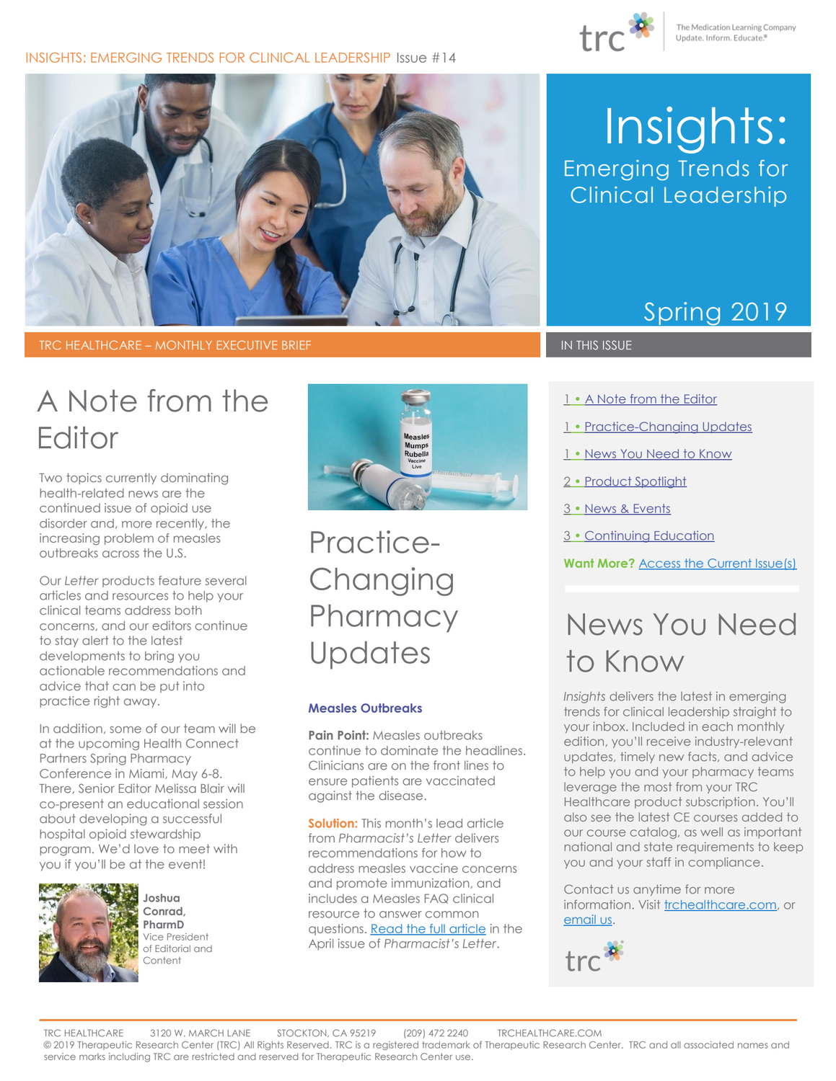

#### INSIGHTS: EMERGING TRENDS FOR CLINICAL LEADERSHIP Issue #14



TRC HEALTHCARE – MONTHLY EXECUTIVE BRIEF IN THIS ISSUE IN THIS ISSUE

# A Note from the Editor

Two topics currently dominating health-related news are the continued issue of opioid use disorder and, more recently, the increasing problem of measles outbreaks across the U.S.

Our *Letter* products feature several articles and resources to help your clinical teams address both concerns, and our editors continue to stay alert to the latest developments to bring you actionable recommendations and advice that can be put into practice right away.

In addition, some of our team will be at the upcoming Health Connect Partners Spring Pharmacy Conference in Miami, May 6-8. There, Senior Editor Melissa Blair will co-present an educational session about developing a successful hospital opioid stewardship program. We'd love to meet with you if you'll be at the event!



**Joshua Conrad, PharmD** Vice President of Editorial and Content



<span id="page-0-0"></span>Practice-Changing **Pharmacy Updates** 

#### **Measles Outbreaks**

**Pain Point: Measles outbreaks** continue to dominate the headlines. Clinicians are on the front lines to ensure patients are vaccinated against the disease.

**Solution:** This month's lead article from *Pharmacist's Letter* delivers recommendations for how to address measles vaccine concerns and promote immunization, and includes a Measles FAQ clinical resource to answer common questions. [Read the full article](https://pharmacist.therapeuticresearch.com/Content/Articles/PL/2019/Apr/Address-Measles-Vaccine-Concerns-and-Promote-Immunization) in the April issue of *Pharmacist's Letter*.

# Insights: Emerging Trends for Clinical Leadership

### Spring 2019

- 1 A Note from the Editor
- 1 [Practice-Changing Updates](#page-0-0)
- 1 [News You Need to Know](#page-0-1)
- 2 [Product Spotlight](#page-1-0)
- 3 [News & Events](#page-2-0)
- 3 [Continuing Education](#page-2-1)

**Want More?** [Access the Current Issue\(s\)](http://trchealthcare.com/login)

## <span id="page-0-1"></span>News You Need to Know

*Insights* delivers the latest in emerging trends for clinical leadership straight to your inbox. Included in each monthly edition, you'll receive industry-relevant updates, timely new facts, and advice to help you and your pharmacy teams leverage the most from your TRC Healthcare product subscription. You'll also see the latest CE courses added to our course catalog, as well as important national and state requirements to keep you and your staff in compliance.

Contact us anytime for more information. Visit [trchealthcare.com,](http://trchealthcare.com/) or [email](mailto:marketing@trchealthcare.com?subject=Insights%20Newsletter%20Inquiry%20Spring%202019) us.

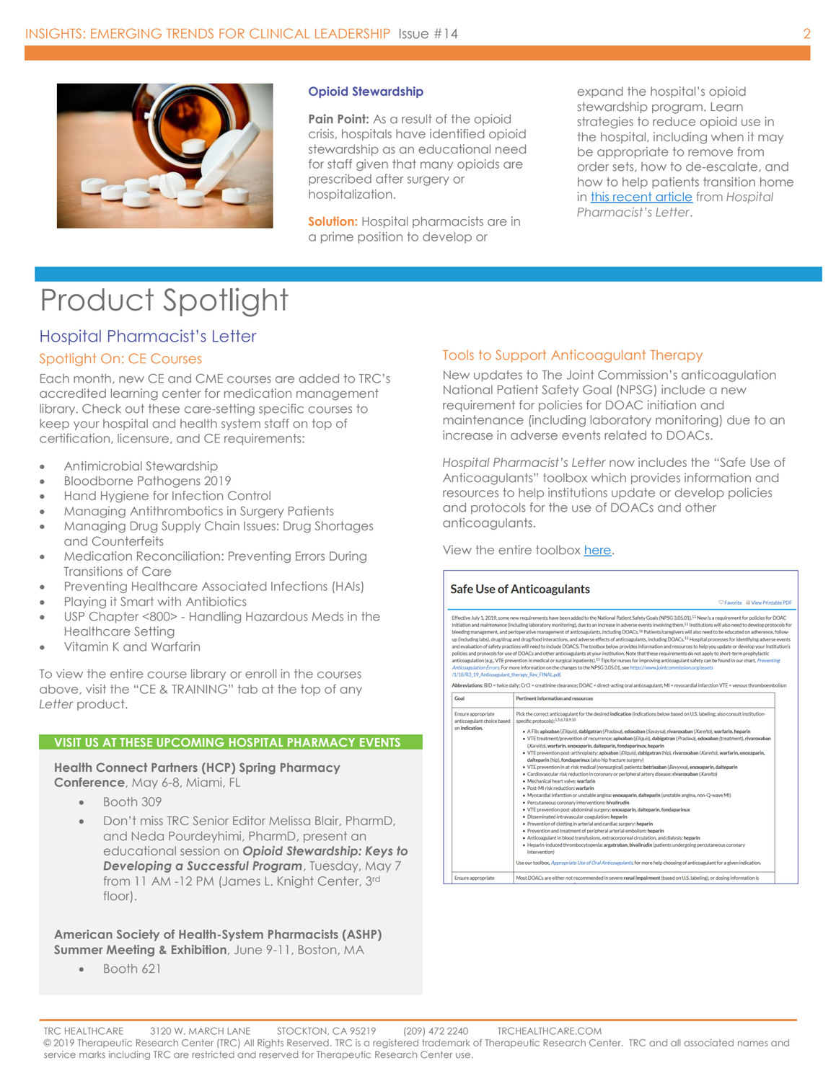

#### **Opioid Stewardship**

**Pain Point:** As a result of the opioid crisis, hospitals have identified opioid stewardship as an educational need for staff given that many opioids are prescribed after surgery or hospitalization.

**Solution:** Hospital pharmacists are in a prime position to develop or

expand the hospital's opioid stewardship program. Learn strategies to reduce opioid use in the hospital, including when it may be appropriate to remove from order sets, how to de-escalate, and how to help patients transition home in [this recent article](https://hospital-pharmacist.therapeuticresearch.com/Content/Articles/PLH/2018/Dec/Focus-on-De-Escalation-and-Safe-Use-Strategies-for-Opioids) from *Hospital Pharmacist's Letter*.

### <span id="page-1-0"></span>Product Spotlight

#### Hospital Pharmacist's Letter

#### Spotlight On: CE Courses

Each month, new CE and CME courses are added to TRC's accredited learning center for medication management library. Check out these care-setting specific courses to keep your hospital and health system staff on top of certification, licensure, and CE requirements:

- Antimicrobial Stewardship
- Bloodborne Pathogens 2019
- Hand Hygiene for Infection Control
- Managing Antithrombotics in Surgery Patients
- Managing Drug Supply Chain Issues: Drug Shortages and Counterfeits
- Medication Reconciliation: Preventing Errors During Transitions of Care
- Preventing Healthcare Associated Infections (HAIs)
- Playing it Smart with Antibiotics
- USP Chapter <800> Handling Hazardous Meds in the Healthcare Setting
- Vitamin K and Warfarin

To view the entire course library or enroll in the courses above, visit the "CE & TRAINING" tab at the top of any *Letter* product.

#### **VISIT US AT THESE UPCOMING HOSPITAL PHARMACY EVENTS**

#### **Health Connect Partners (HCP) Spring Pharmacy**

**Conference**, May 6-8, Miami, FL

- Booth 309
- Don't miss TRC Senior Editor Melissa Blair, PharmD, and Neda Pourdeyhimi, PharmD, present an educational session on *Opioid Stewardship: Keys to Developing a Successful Program*, Tuesday, May 7 from 11 AM -12 PM (James L. Knight Center, 3rd floor).

#### **American Society of Health-System Pharmacists (ASHP) Summer Meeting & Exhibition**, June 9-11, Boston, MA

• Booth 621

#### Tools to Support Anticoagulant Therapy

New updates to The Joint Commission's anticoagulation National Patient Safety Goal (NPSG) include a new requirement for policies for DOAC initiation and maintenance (including laboratory monitoring) due to an increase in adverse events related to DOACs.

*Hospital Pharmacist's Letter* now includes the "Safe Use of Anticoagulants" toolbox which provides information and resources to help institutions update or develop policies and protocols for the use of DOACs and other anticoagulants.

View the entire toolbox here.

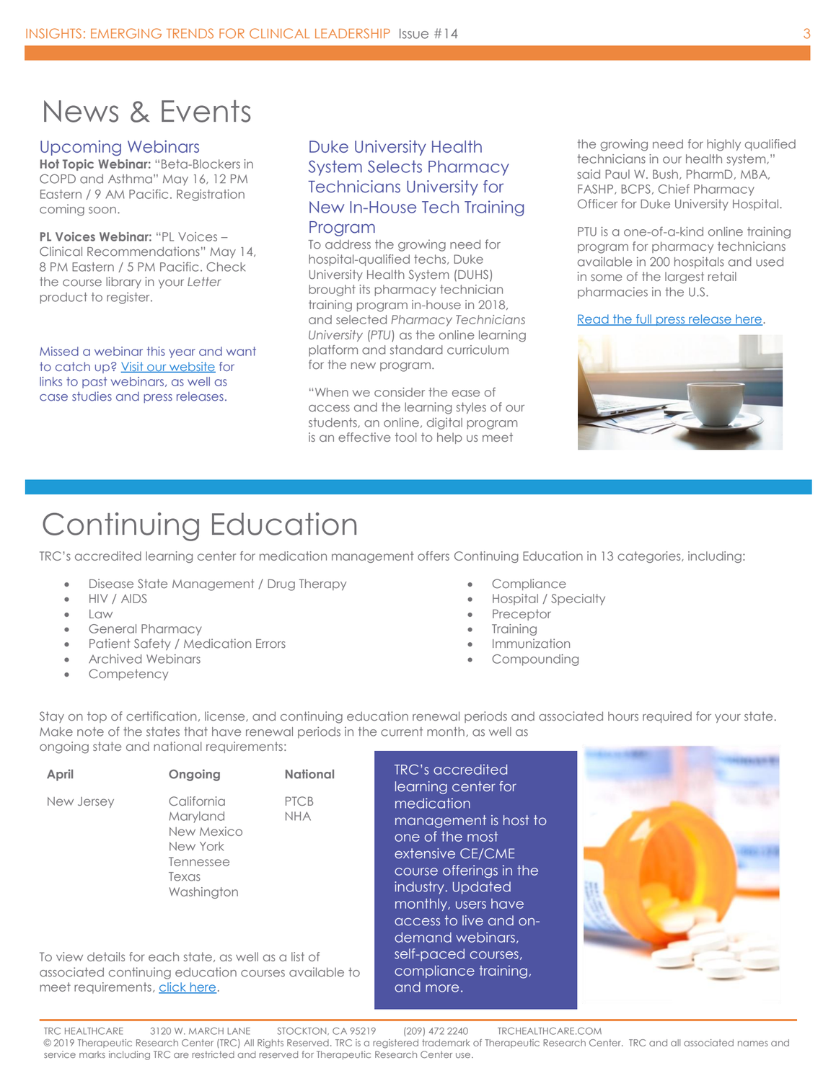### <span id="page-2-0"></span>News & Events

#### Upcoming Webinars

**Hot Topic Webinar:** "Beta-Blockers in COPD and Asthma" May 16, 12 PM Eastern / 9 AM Pacific. Registration coming soon.

**PL Voices Webinar:** "PL Voices – Clinical Recommendations" May 14, 8 PM Eastern / 5 PM Pacific. Check the course library in your *Letter*  product to register.

Missed a webinar this year and want to catch up[? Visit our website](http://www.trchealthcare.com/about-us/news-webinars) for links to past webinars, as well as case studies and press releases.

#### Duke University Health System Selects Pharmacy Technicians University for New In-House Tech Training Program

To address the growing need for hospital-qualified techs, Duke University Health System (DUHS) brought its pharmacy technician training program in-house in 2018, and selected *Pharmacy Technicians University* (*PTU*) as the online learning platform and standard curriculum for the new program.

"When we consider the ease of access and the learning styles of our students, an online, digital program is an effective tool to help us meet

the growing need for highly qualified technicians in our health system," said Paul W. Bush, PharmD, MBA, FASHP, BCPS, Chief Pharmacy Officer for Duke University Hospital.

PTU is a one-of-a-kind online training program for pharmacy technicians available in 200 hospitals and used in some of the largest retail pharmacies in the U.S.

[Read the full press release here.](file:///C:/Users/abrownlie/Documents/Enterprise%20Newsletter/Spring%202019%20(Feb%20Mar)/trchealthcare.com/press-release/academic-medical-center-ptu-in-house-technician-training-program)



### <span id="page-2-1"></span>Continuing Education

TRC's accredited learning center for medication management offers Continuing Education in 13 categories, including:

- Disease State Management / Drug Therapy
- HIV / AIDS
- $\bullet$  Law
- General Pharmacy
- Patient Safety / Medication Errors
- Archived Webinars
- **Competency**
- **Compliance**
- Hospital / Specialty
- Preceptor
- **Training**
- **Immunization**
- **Compounding**

Stay on top of certification, license, and continuing education renewal periods and associated hours required for your state. Make note of the states that have renewal periods in the current month, as well as ongoing state and national requirements:

| April                          | Ongoing                                                                                                      | <b>National</b>           | <b>TRC's accredited</b><br>learning center for                                                                                                                                                  |
|--------------------------------|--------------------------------------------------------------------------------------------------------------|---------------------------|-------------------------------------------------------------------------------------------------------------------------------------------------------------------------------------------------|
| New Jersey                     | California<br>Maryland<br>New Mexico<br>New York<br>Tennessee<br>Texas<br>Washington                         | <b>PTCB</b><br><b>NHA</b> | medication<br>management is host to<br>one of the most<br>extensive CE/CME<br>course offerings in the<br>industry. Updated<br>monthly, users have<br>access to live and on-<br>demand webinars, |
| meet requirements, click here. | To view details for each state, as well as a list of<br>associated continuing education courses available to |                           | self-paced courses,<br>compliance training,<br>and more.                                                                                                                                        |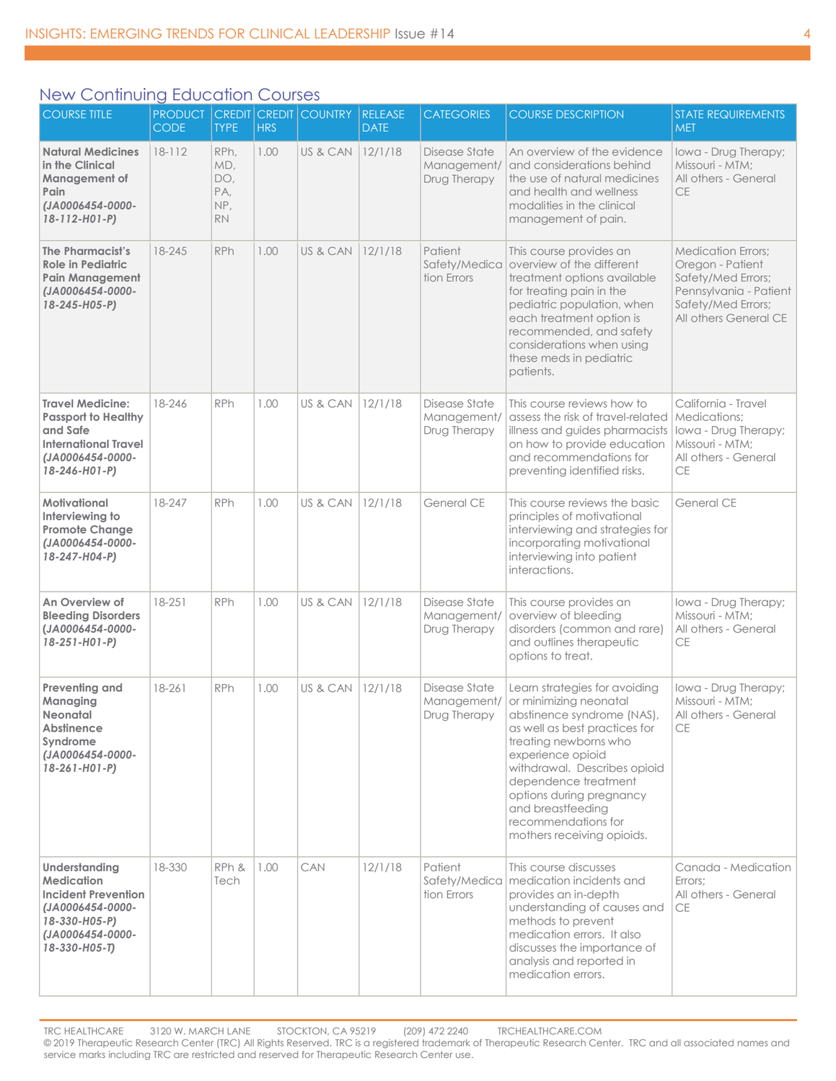### New Continuing Education Courses

| <b>COURSE TITLE</b>                                                                                                                          | <b>PRODUCT</b><br><b>CODE</b> | <b>TYPE</b>                                   | <b>HRS</b> | <b>CREDIT CREDIT COUNTRY</b> | <b>RELEASE</b><br><b>DATE</b> | <b>CATEGORIES</b>                            | <b>COURSE DESCRIPTION</b>                                                                                                                                                                                                                                                                                                          | <b>STATE REQUIREMENTS</b><br><b>MET</b>                                                                                                      |
|----------------------------------------------------------------------------------------------------------------------------------------------|-------------------------------|-----------------------------------------------|------------|------------------------------|-------------------------------|----------------------------------------------|------------------------------------------------------------------------------------------------------------------------------------------------------------------------------------------------------------------------------------------------------------------------------------------------------------------------------------|----------------------------------------------------------------------------------------------------------------------------------------------|
| <b>Natural Medicines</b><br>in the Clinical<br>Management of<br>Pain<br>(JA0006454-0000-<br>$18 - 112 - H01 - P$                             | 18-112                        | RPh,<br>MD,<br>DO,<br>PA,<br>NP,<br><b>RN</b> | 1.00       | US & CAN                     | 12/1/18                       | Disease State<br>Management/<br>Drug Therapy | An overview of the evidence<br>and considerations behind<br>the use of natural medicines<br>and health and wellness<br>modalities in the clinical<br>management of pain.                                                                                                                                                           | Iowa - Drug Therapy;<br>Missouri - MTM;<br>All others - General<br><b>CE</b>                                                                 |
| The Pharmacist's<br><b>Role in Pediatric</b><br><b>Pain Management</b><br>(JA0006454-0000-<br>18-245-H05-P)                                  | 18-245                        | RPh                                           | 1.00       | US & CAN                     | 12/1/18                       | Patient<br>Safety/Medica<br>tion Errors      | This course provides an<br>overview of the different<br>treatment options available<br>for treating pain in the<br>pediatric population, when<br>each treatment option is<br>recommended, and safety<br>considerations when using<br>these meds in pediatric<br>patients.                                                          | <b>Medication Errors;</b><br>Oregon - Patient<br>Safety/Med Errors;<br>Pennsylvania - Patient<br>Safety/Med Errors;<br>All others General CE |
| <b>Travel Medicine:</b><br><b>Passport to Healthy</b><br>and Safe<br><b>International Travel</b><br>(JA0006454-0000-<br>$18 - 246 - H01 - P$ | 18-246                        | <b>RPh</b>                                    | 1.00       | US & CAN                     | 12/1/18                       | Disease State<br>Management/<br>Drug Therapy | This course reviews how to<br>assess the risk of travel-related<br>illness and guides pharmacists<br>on how to provide education<br>and recommendations for<br>preventing identified risks.                                                                                                                                        | California - Travel<br>Medications:<br>Iowa - Drug Therapy;<br>Missouri - MTM:<br>All others - General<br>CE                                 |
| Motivational<br>Interviewing to<br><b>Promote Change</b><br>(JA0006454-0000-<br>18-247-H04-P)                                                | 18-247                        | RPh                                           | 1.00       | US & CAN                     | 12/1/18                       | <b>General CE</b>                            | This course reviews the basic<br>principles of motivational<br>interviewing and strategies for<br>incorporating motivational<br>interviewing into patient<br>interactions.                                                                                                                                                         | <b>General CE</b>                                                                                                                            |
| An Overview of<br><b>Bleeding Disorders</b><br>(JA0006454-0000-<br>$18 - 251 - H01 - P$                                                      | 18-251                        | <b>RPh</b>                                    | 1.00       | US & CAN                     | 12/1/18                       | Disease State<br>Management/<br>Drug Therapy | This course provides an<br>overview of bleeding<br>disorders (common and rare)<br>and outlines therapeutic<br>options to treat.                                                                                                                                                                                                    | Iowa - Drug Therapy;<br>Missouri - MTM;<br>All others - General<br><b>CE</b>                                                                 |
| Preventing and<br>Managing<br>Neonatal<br>Abstinence<br>Syndrome<br>(JA0006454-0000-<br>$18 - 261 - H01 - P$                                 | 18-261                        | <b>RPh</b>                                    | 1.00       | US & CAN                     | 12/1/18                       | Disease State<br>Management/<br>Drug Therapy | Learn strategies for avoiding<br>or minimizing neonatal<br>abstinence syndrome (NAS),<br>as well as best practices for<br>treating newborns who<br>experience opioid<br>withdrawal. Describes opioid<br>dependence treatment<br>options during pregnancy<br>and breastfeeding<br>recommendations for<br>mothers receiving opioids. | lowa - Drug Therapy;<br>Missouri - MTM;<br>All others - General<br>CE                                                                        |
| Understanding<br><b>Medication</b><br><b>Incident Prevention</b><br>(JA0006454-0000-<br>18-330-H05-P)<br>(JA0006454-0000-<br>18-330-H05-T)   | 18-330                        | RPh &<br>Tech                                 | 1.00       | CAN                          | 12/1/18                       | Patient<br>tion Errors                       | This course discusses<br>Safety/Medica   medication incidents and<br>provides an in-depth<br>understanding of causes and<br>methods to prevent<br>medication errors. It also<br>discusses the importance of<br>analysis and reported in<br>medication errors.                                                                      | Canada - Medication<br>Errors:<br>All others - General<br><b>CE</b>                                                                          |

TRC HEALTHCARE 3120 W. MARCH LANE STOCKTON, CA 95219 (209) 472 2240 TRCHEALTHCARE.COM © 2019 Therapeutic Research Center (TRC) All Rights Reserved. TRC is a registered trademark of Therapeutic Research Center. TRC and all associated names and service marks including TRC are restricted and reserved for Therapeutic Research Center use.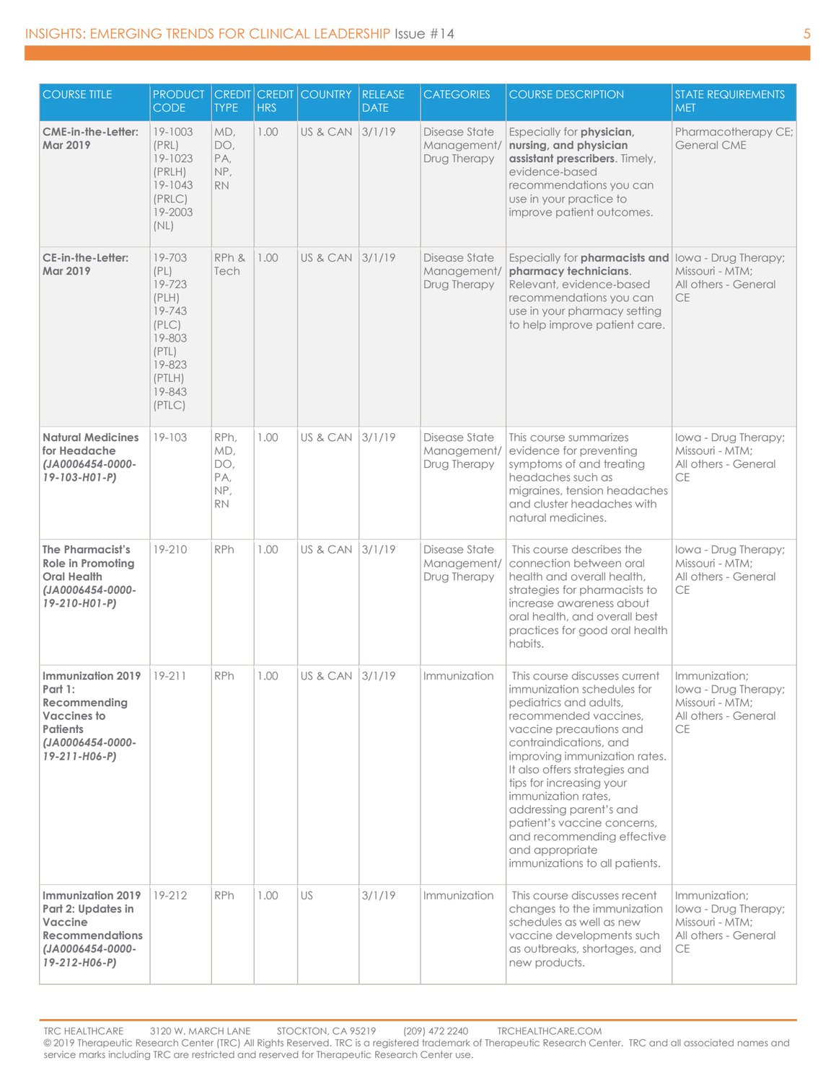| <b>COURSE TITLE</b>                                                                                                        | <b>PRODUCT</b><br><b>CODE</b>                                                                                   | <b>TYPE</b>                                   | <b>HRS</b> | <b>CREDIT CREDIT COUNTRY</b> | <b>RELEASE</b><br><b>DATE</b> | <b>CATEGORIES</b>                            | <b>COURSE DESCRIPTION</b>                                                                                                                                                                                                                                                                                                                                                                                                             | <b>STATE REQUIREMENTS</b><br><b>MET</b>                                                       |
|----------------------------------------------------------------------------------------------------------------------------|-----------------------------------------------------------------------------------------------------------------|-----------------------------------------------|------------|------------------------------|-------------------------------|----------------------------------------------|---------------------------------------------------------------------------------------------------------------------------------------------------------------------------------------------------------------------------------------------------------------------------------------------------------------------------------------------------------------------------------------------------------------------------------------|-----------------------------------------------------------------------------------------------|
| <b>CME-in-the-Letter:</b><br><b>Mar 2019</b>                                                                               | 19-1003<br>(PRL)<br>19-1023<br>(PRLH)<br>19-1043<br>(PRLC)<br>19-2003<br>(NL)                                   | MD,<br>DO,<br>PA,<br>NP,<br><b>RN</b>         | 1.00       | US & CAN                     | 3/1/19                        | Disease State<br>Management/<br>Drug Therapy | Especially for physician,<br>nursing, and physician<br>assistant prescribers. Timely,<br>evidence-based<br>recommendations you can<br>use in your practice to<br>improve patient outcomes.                                                                                                                                                                                                                                            | Pharmacotherapy CE;<br>General CME                                                            |
| CE-in-the-Letter:<br><b>Mar 2019</b>                                                                                       | 19-703<br>(PL)<br>19-723<br>(PLH)<br>19-743<br>(PLC)<br>19-803<br>(PTL)<br>19-823<br>(PTLH)<br>19-843<br>(PTLC) | RPh &<br>Tech                                 | 1.00       | US & CAN                     | 3/1/19                        | Disease State<br>Management/<br>Drug Therapy | Especially for <b>pharmacists and</b> lowa - Drug Therapy;<br>pharmacy technicians.<br>Relevant, evidence-based<br>recommendations you can<br>use in your pharmacy setting<br>to help improve patient care.                                                                                                                                                                                                                           | Missouri - MTM;<br>All others - General<br><b>CE</b>                                          |
| <b>Natural Medicines</b><br>for Headache<br>(JA0006454-0000-<br>$19 - 103 - H01 - P$                                       | $19 - 103$                                                                                                      | RPh,<br>MD,<br>DO,<br>PA,<br>NP,<br><b>RN</b> | 1.00       | US & CAN                     | 3/1/19                        | Disease State<br>Management/<br>Drug Therapy | This course summarizes<br>evidence for preventing<br>symptoms of and treating<br>headaches such as<br>migraines, tension headaches<br>and cluster headaches with<br>natural medicines.                                                                                                                                                                                                                                                | Iowa - Drug Therapy;<br>Missouri - MTM:<br>All others - General<br>CE                         |
| <b>The Pharmacist's</b><br><b>Role in Promoting</b><br><b>Oral Health</b><br>(JA0006454-0000-<br>19-210-H01-P)             | 19-210                                                                                                          | <b>RPh</b>                                    | 1.00       | US & CAN 3/1/19              |                               | Disease State<br>Management/<br>Drug Therapy | This course describes the<br>connection between oral<br>health and overall health,<br>strategies for pharmacists to<br>increase awareness about<br>oral health, and overall best<br>practices for good oral health<br>habits.                                                                                                                                                                                                         | Iowa - Drug Therapy;<br>Missouri - MTM:<br>All others - General<br>СE                         |
| <b>Immunization 2019</b><br>Part 1:<br>Recommending<br>Vaccines to<br><b>Patients</b><br>(JA0006454-0000-<br>19-211-H06-P) | $19 - 211$                                                                                                      | RPh                                           | 1.00       | US & CAN 3/1/19              |                               | Immunization                                 | This course discusses current<br>immunization schedules for<br>pediatrics and adults,<br>recommended vaccines,<br>vaccine precautions and<br>contraindications, and<br>improving immunization rates.<br>It also offers strategies and<br>tips for increasing your<br>immunization rates,<br>addressing parent's and<br>patient's vaccine concerns,<br>and recommending effective<br>and appropriate<br>immunizations to all patients. | Immunization;<br>Iowa - Drug Therapy;<br>Missouri - MTM;<br>All others - General<br>СE        |
| Immunization 2019<br>Part 2: Updates in<br>Vaccine<br><b>Recommendations</b><br>(JA0006454-0000-<br>19-212-H06-P)          | 19-212                                                                                                          | <b>RPh</b>                                    | 1.00       | US                           | 3/1/19                        | Immunization                                 | This course discusses recent<br>changes to the immunization<br>schedules as well as new<br>vaccine developments such<br>as outbreaks, shortages, and<br>new products.                                                                                                                                                                                                                                                                 | Immunization;<br>lowa - Drug Therapy;<br>Missouri - MTM;<br>All others - General<br><b>CE</b> |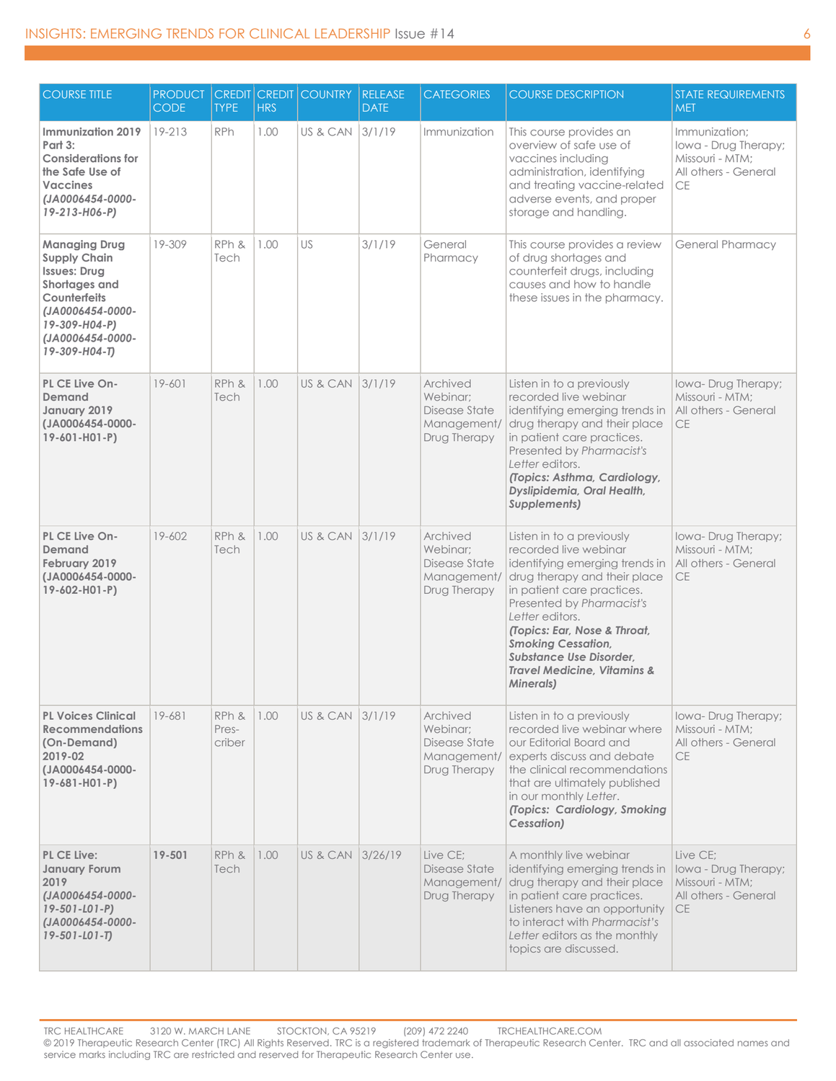| <b>COURSE TITLE</b>                                                                                                                                                           | <b>PRODUCT</b><br><b>CODE</b> | <b>CREDIT</b><br><b>TYPE</b> | <b>HRS</b> | <b>CREDIT COUNTRY</b> | <b>RELEASE</b><br><b>DATE</b> | <b>CATEGORIES</b>                                                    | <b>COURSE DESCRIPTION</b>                                                                                                                                                                                                                                                                                                                                 | <b>STATE REQUIREMENTS</b><br><b>MET</b>                                                       |
|-------------------------------------------------------------------------------------------------------------------------------------------------------------------------------|-------------------------------|------------------------------|------------|-----------------------|-------------------------------|----------------------------------------------------------------------|-----------------------------------------------------------------------------------------------------------------------------------------------------------------------------------------------------------------------------------------------------------------------------------------------------------------------------------------------------------|-----------------------------------------------------------------------------------------------|
| Immunization 2019<br>Part 3:<br><b>Considerations for</b><br>the Safe Use of<br><b>Vaccines</b><br>(JA0006454-0000-<br>19-213-H06-P)                                          | 19-213                        | <b>RPh</b>                   | 1.00       | US & CAN              | 3/1/19                        | Immunization                                                         | This course provides an<br>overview of safe use of<br>vaccines including<br>administration, identifying<br>and treating vaccine-related<br>adverse events, and proper<br>storage and handling.                                                                                                                                                            | Immunization:<br>lowa - Drug Therapy;<br>Missouri - MTM;<br>All others - General<br><b>CE</b> |
| <b>Managing Drug</b><br><b>Supply Chain</b><br><b>Issues: Drug</b><br>Shortages and<br>Counterfeits<br>(JA0006454-0000-<br>19-309-H04-P)<br>(JA0006454-0000-<br>19-309-H04-T) | 19-309                        | RPh &<br>Tech                | 1.00       | US                    | 3/1/19                        | General<br>Pharmacy                                                  | This course provides a review<br>of drug shortages and<br>counterfeit drugs, including<br>causes and how to handle<br>these issues in the pharmacy.                                                                                                                                                                                                       | <b>General Pharmacy</b>                                                                       |
| PL CE Live On-<br>Demand<br>January 2019<br>(JA0006454-0000-<br>19-601-H01-P)                                                                                                 | 19-601                        | RPh &<br>Tech                | 1.00       | US & CAN              | 3/1/19                        | Archived<br>Webinar:<br>Disease State<br>Management/<br>Drug Therapy | Listen in to a previously<br>recorded live webinar<br>identifying emerging trends in<br>drug therapy and their place<br>in patient care practices.<br>Presented by Pharmacist's<br>Letter editors.<br>(Topics: Asthma, Cardiology,<br>Dyslipidemia, Oral Health,<br>Supplements)                                                                          | Iowa-Drug Therapy;<br>Missouri - MTM:<br>All others - General<br><b>CE</b>                    |
| PL CE Live On-<br>Demand<br>February 2019<br>(JA0006454-0000-<br>19-602-H01-P)                                                                                                | 19-602                        | RPh &<br>Tech                | 1.00       | US & CAN              | 3/1/19                        | Archived<br>Webinar:<br>Disease State<br>Management/<br>Drug Therapy | Listen in to a previously<br>recorded live webinar<br>identifying emerging trends in<br>drug therapy and their place<br>in patient care practices.<br>Presented by Pharmacist's<br>Letter editors.<br>(Topics: Ear, Nose & Throat,<br><b>Smoking Cessation,</b><br>Substance Use Disorder,<br><b>Travel Medicine, Vitamins &amp;</b><br><b>Minerals</b> ) | Iowa-Drug Therapy;<br>Missouri - MTM:<br>All others - General<br><b>CE</b>                    |
| <b>PL Voices Clinical</b><br><b>Recommendations</b><br>(On-Demand)<br>2019-02<br>(JA0006454-0000-<br>$19-681 - H01 - P$                                                       | 19-681                        | RPh &<br>Pres-<br>criber     | 1.00       | US & CAN 3/1/19       |                               | Archived<br>Webinar:<br>Disease State<br>Management/<br>Drug Therapy | Listen in to a previously<br>recorded live webing where<br>our Editorial Board and<br>experts discuss and debate<br>the clinical recommendations<br>that are ultimately published<br>in our monthly Letter.<br>(Topics: Cardiology, Smoking<br>Cessation)                                                                                                 | Iowa-Drug Therapy;<br>Missouri - MTM;<br>All others - General<br><b>CE</b>                    |
| PL CE Live:<br><b>January Forum</b><br>2019<br>(JA0006454-0000-<br>$19 - 501 - 101 - P$<br>(JA0006454-0000-<br>$19 - 501 - 101 - T$                                           | 19-501                        | RPh &<br>Tech                | 1.00       | US & CAN 3/26/19      |                               | Live CE;<br>Disease State<br>Management/<br>Drug Therapy             | A monthly live webinar<br>identifying emerging trends in<br>drug therapy and their place<br>in patient care practices.<br>Listeners have an opportunity<br>to interact with Pharmacist's<br>Letter editors as the monthly<br>topics are discussed.                                                                                                        | Live CE;<br>Iowa - Drug Therapy;<br>Missouri - MTM:<br>All others - General<br><b>CE</b>      |

TRC HEALTHCARE 3120 W. MARCH LANE STOCKTON, CA 95219 (209) 472 2240 TRCHEALTHCARE.COM © 2019 Therapeutic Research Center (TRC) All Rights Reserved. TRC is a registered trademark of Therapeutic Research Center. TRC and all associated names and service marks including TRC are restricted and reserved for Therapeutic Research Center use.